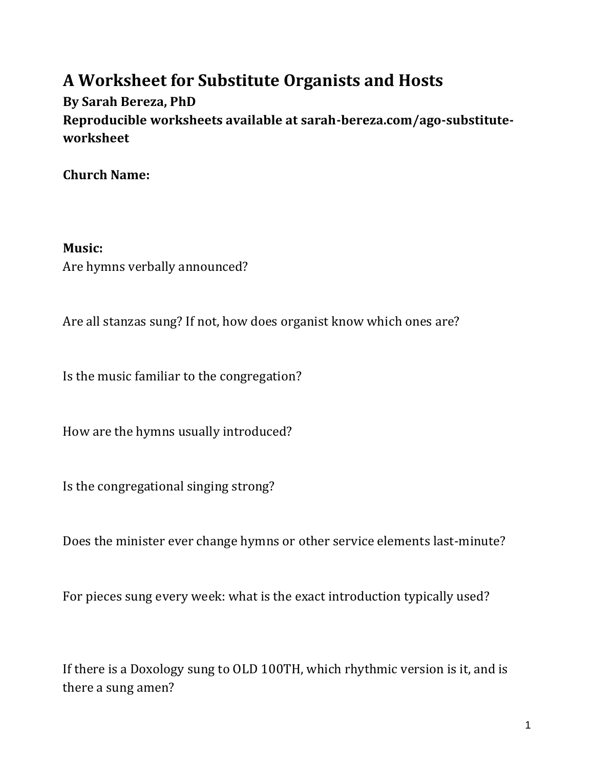# **A Worksheet for Substitute Organists and Hosts**

**By Sarah Bereza, PhD Reproducible worksheets available at sarah-bereza.com/ago-substituteworksheet**

**Church Name:**

**Music:** Are hymns verbally announced?

Are all stanzas sung? If not, how does organist know which ones are?

Is the music familiar to the congregation?

How are the hymns usually introduced?

Is the congregational singing strong?

Does the minister ever change hymns or other service elements last-minute?

For pieces sung every week: what is the exact introduction typically used?

If there is a Doxology sung to OLD 100TH, which rhythmic version is it, and is there a sung amen?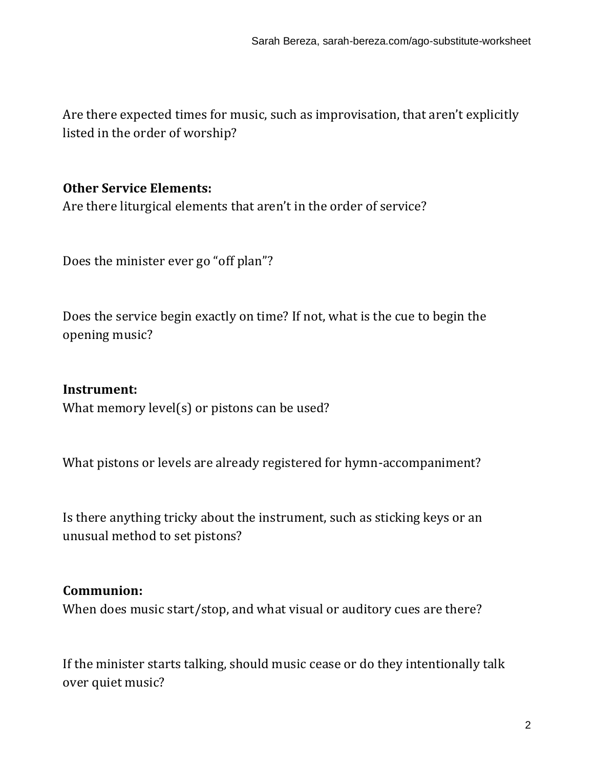Are there expected times for music, such as improvisation, that aren't explicitly listed in the order of worship?

### **Other Service Elements:**

Are there liturgical elements that aren't in the order of service?

Does the minister ever go "off plan"?

Does the service begin exactly on time? If not, what is the cue to begin the opening music?

#### **Instrument:**

What memory level(s) or pistons can be used?

What pistons or levels are already registered for hymn-accompaniment?

Is there anything tricky about the instrument, such as sticking keys or an unusual method to set pistons?

#### **Communion:**

When does music start/stop, and what visual or auditory cues are there?

If the minister starts talking, should music cease or do they intentionally talk over quiet music?